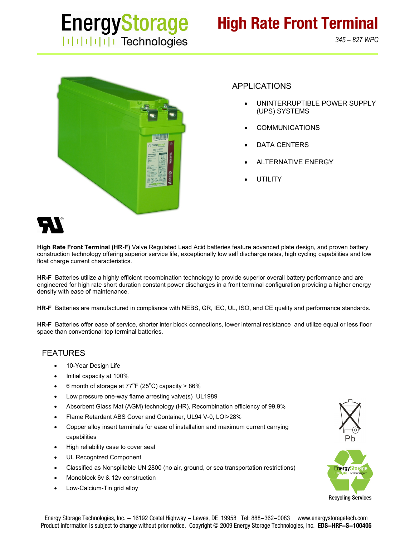

*345 – 827 WPC*



### APPLICATIONS

- UNINTERRUPTIBLE POWER SUPPLY (UPS) SYSTEMS
- COMMUNICATIONS
- DATA CENTERS
- ALTERNATIVE ENERGY
- **UTILITY**



**High Rate Front Terminal (HR-F)** Valve Regulated Lead Acid batteries feature advanced plate design, and proven battery construction technology offering superior service life, exceptionally low self discharge rates, high cycling capabilities and low float charge current characteristics.

**HR-F** Batteries utilize a highly efficient recombination technology to provide superior overall battery performance and are engineered for high rate short duration constant power discharges in a front terminal configuration providing a higher energy density with ease of maintenance.

**HR-F** Batteries are manufactured in compliance with NEBS, GR, IEC, UL, ISO, and CE quality and performance standards.

**HR-F** Batteries offer ease of service, shorter inter block connections, lower internal resistance and utilize equal or less floor space than conventional top terminal batteries.

#### FEATURES

- 10-Year Design Life
- Initial capacity at 100%
- 6 month of storage at  $77^{\circ}$ F (25°C) capacity > 86%
- Low pressure one-way flame arresting valve(s) UL1989
- Absorbent Glass Mat (AGM) technology (HR), Recombination efficiency of 99.9%
- Flame Retardant ABS Cover and Container, UL94 V-0, LOI>28%
- Copper alloy insert terminals for ease of installation and maximum current carrying capabilities
- High reliability case to cover seal
- UL Recognized Component
- Classified as Nonspillable UN 2800 (no air, ground, or sea transportation restrictions)
- Monoblock 6v & 12v construction
- Low-Calcium-Tin grid alloy

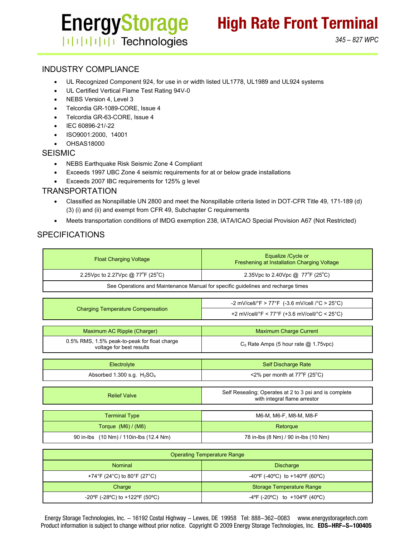# **EnergyStorage ITHEFFITE** Technologies

### INDUSTRY COMPLIANCE

- UL Recognized Component 924, for use in or width listed UL1778, UL1989 and UL924 systems
- UL Certified Vertical Flame Test Rating 94V-0
- NEBS Version 4, Level 3
- Telcordia GR-1089-CORE, Issue 4
- Telcordia GR-63-CORE, Issue 4
- IEC 60896-21/-22
- ISO9001:2000, 14001
- OHSAS18000

#### SEISMIC

- NEBS Earthquake Risk Seismic Zone 4 Compliant
- Exceeds 1997 UBC Zone 4 seismic requirements for at or below grade installations
- Exceeds 2007 IBC requirements for 125% g level

#### **TRANSPORTATION**

- Classified as Nonspillable UN 2800 and meet the Nonspillable criteria listed in DOT-CFR Title 49, 171-189 (d) (3) (i) and (ii) and exempt from CFR 49, Subchapter C requirements
- Meets transportation conditions of IMDG exemption 238, IATA/ICAO Special Provision A67 (Not Restricted)

## SPECIFICATIONS

| <b>Float Charging Voltage</b>                                                    | Equalize / Cycle or<br>Freshening at Installation Charging Voltage                     |  |  |  |  |  |  |  |  |  |
|----------------------------------------------------------------------------------|----------------------------------------------------------------------------------------|--|--|--|--|--|--|--|--|--|
| 2.25Vpc to 2.27Vpc @ 77 <sup>o</sup> F (25 <sup>o</sup> C)                       | 2.35 Vpc to 2.40 Vpc @ 77 °F (25 °C)                                                   |  |  |  |  |  |  |  |  |  |
| See Operations and Maintenance Manual for specific guidelines and recharge times |                                                                                        |  |  |  |  |  |  |  |  |  |
|                                                                                  |                                                                                        |  |  |  |  |  |  |  |  |  |
|                                                                                  | -2 mV/cell/°F > 77°F (-3.6 mV/cell /°C > 25°C)                                         |  |  |  |  |  |  |  |  |  |
| <b>Charging Temperature Compensation</b>                                         | +2 mV/cell/°F < 77°F (+3.6 mV/cell/°C < 25°C)                                          |  |  |  |  |  |  |  |  |  |
|                                                                                  |                                                                                        |  |  |  |  |  |  |  |  |  |
| Maximum AC Ripple (Charger)                                                      | <b>Maximum Charge Current</b>                                                          |  |  |  |  |  |  |  |  |  |
| 0.5% RMS, 1.5% peak-to-peak for float charge<br>voltage for best results         | $C_5$ Rate Amps (5 hour rate $\omega$ 1.75 vpc)                                        |  |  |  |  |  |  |  |  |  |
|                                                                                  |                                                                                        |  |  |  |  |  |  |  |  |  |
| Electrolyte                                                                      | <b>Self Discharge Rate</b>                                                             |  |  |  |  |  |  |  |  |  |
| Absorbed 1.300 s.g. $H2SO4$                                                      | $\leq$ 2% per month at 77 $\degree$ F (25 $\degree$ C)                                 |  |  |  |  |  |  |  |  |  |
|                                                                                  |                                                                                        |  |  |  |  |  |  |  |  |  |
| <b>Relief Valve</b>                                                              | Self Resealing; Operates at 2 to 3 psi and is complete<br>with integral flame arrestor |  |  |  |  |  |  |  |  |  |
|                                                                                  |                                                                                        |  |  |  |  |  |  |  |  |  |
| <b>Terminal Type</b>                                                             | M6-M, M6-F, M8-M, M8-F                                                                 |  |  |  |  |  |  |  |  |  |
| Torque $(M6) / (M8)$                                                             | Retorque                                                                               |  |  |  |  |  |  |  |  |  |
| 90 in-lbs (10 Nm) / 110in-lbs (12.4 Nm)                                          | 78 in-lbs (8 Nm) / 90 in-lbs (10 Nm)                                                   |  |  |  |  |  |  |  |  |  |

| <b>Operating Temperature Range</b> |                                                                          |  |  |  |  |  |  |  |
|------------------------------------|--------------------------------------------------------------------------|--|--|--|--|--|--|--|
| <b>Nominal</b>                     | <b>Discharge</b>                                                         |  |  |  |  |  |  |  |
| +74°F (24°C) to 80°F (27°C)        | -40°F (-40°C) to +140°F (60°C)                                           |  |  |  |  |  |  |  |
| Charge                             | <b>Storage Temperature Range</b>                                         |  |  |  |  |  |  |  |
| -20°F (-28°C) to +122°F (50°C)     | $-4^{\circ}$ F (-20 $^{\circ}$ C) to +104 $^{\circ}$ F (40 $^{\circ}$ C) |  |  |  |  |  |  |  |

Energy Storage Technologies, Inc. - 16192 Costal Highway - Lewes, DE 19958 Tel: 888-362-0083 www.energystoragetech.com Product information is subject to change without prior notice. Copyright © 2009 Energy Storage Technologies, Inc. **EDS-HRF-S-100405**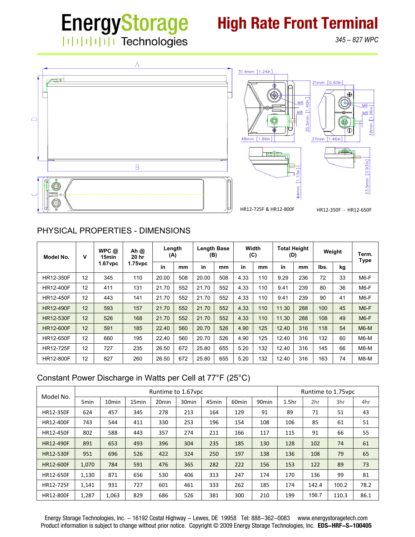# **EnergyStorage High Rate Front Terminal** | | | | | | | | | | Technologies

*345 – 827 WPC*



# PHYSICAL PROPERTIES - DIMENSIONS

| Model No.        | v  | WPC@<br>15min<br>$1.67$ vpc | Ah $@$<br>20 hr<br>$1.75$ vpc | Length<br>(A) |     | <b>Length Base</b><br>(B) |     | Width<br>(C) |     | <b>Total Height</b><br>(D) |     | Weight |    | Term.<br>Type |
|------------------|----|-----------------------------|-------------------------------|---------------|-----|---------------------------|-----|--------------|-----|----------------------------|-----|--------|----|---------------|
|                  |    |                             |                               | in            | mm  | in                        | mm  | in           | mm  | in                         | mm  | lbs.   | kg |               |
| HR12-350F        | 12 | 345                         | 110                           | 20.00         | 508 | 20.00                     | 508 | 4.33         | 110 | 9.29                       | 236 | 72     | 33 | $M6-F$        |
| <b>HR12-400F</b> | 12 | 411                         | 131                           | 21.70         | 552 | 21.70                     | 552 | 4.33         | 110 | 9.41                       | 239 | 80     | 36 | M6-F          |
| <b>HR12-450F</b> | 12 | 443                         | 141                           | 21.70         | 552 | 21.70                     | 552 | 4.33         | 110 | 9.41                       | 239 | 90     | 41 | M6-F          |
| <b>HR12-490F</b> | 12 | 593                         | 157                           | 21.70         | 552 | 21.70                     | 552 | 4.33         | 110 | 11.30                      | 288 | 100    | 45 | $M6-F$        |
| <b>HR12-530F</b> | 12 | 526                         | 168                           | 21.70         | 552 | 21.70                     | 552 | 4.33         | 110 | 11.30                      | 288 | 108    | 49 | $M6-F$        |
| <b>HR12-600F</b> | 12 | 591                         | 185                           | 22.40         | 560 | 20.70                     | 526 | 4.90         | 125 | 12.40                      | 316 | 118    | 54 | $M6-M$        |
| <b>HR12-650F</b> | 12 | 660                         | 195                           | 22.40         | 560 | 20.70                     | 526 | 4.90         | 125 | 12.40                      | 316 | 132    | 60 | $M6-M$        |
| <b>HR12-725F</b> | 12 | 727                         | 235                           | 26.50         | 672 | 25.80                     | 655 | 5.20         | 132 | 12.40                      | 316 | 145    | 66 | $M8-M$        |
| <b>HR12-800F</b> | 12 | 827                         | 260                           | 26.50         | 672 | 25.80                     | 655 | 5.20         | 132 | 12.40                      | 316 | 163    | 74 | $M8-M$        |

# Constant Power Discharge in Watts per Cell at 77°F (25°C)

| Model No.        | Runtime to 1.67 vpc |                   |                   |                   |                   |                   |                   |                   |                   | Runtime to 1.75 vpc |       |      |  |  |
|------------------|---------------------|-------------------|-------------------|-------------------|-------------------|-------------------|-------------------|-------------------|-------------------|---------------------|-------|------|--|--|
|                  | 5 <sub>min</sub>    | 10 <sub>min</sub> | 15 <sub>min</sub> | 20 <sub>min</sub> | 30 <sub>min</sub> | 45 <sub>min</sub> | 60 <sub>min</sub> | 90 <sub>min</sub> | 1.5 <sub>hr</sub> | 2hr                 | 3hr   | 4hr  |  |  |
| HR12-350F        | 624                 | 457               | 345               | 278               | 213               | 164               | 129               | 91                | 89                | 71                  | 51    | 43   |  |  |
| HR12-400F        | 743                 | 544               | 411               | 330               | 253               | 196               | 154               | 108               | 106               | 85                  | 61    | 51   |  |  |
| <b>HR12-450F</b> | 802                 | 588               | 443               | 357               | 274               | 211               | 166               | 117               | 115               | 91                  | 66    | 55   |  |  |
| HR12-490F        | 891                 | 653               | 493               | 396               | 304               | 235               | 185               | 130               | 128               | 102                 | 74    | 61   |  |  |
| <b>HR12-530F</b> | 951                 | 696               | 526               | 422               | 324               | 250               | 197               | 138               | 136               | 108                 | 79    | 65   |  |  |
| <b>HR12-600F</b> | 1,070               | 784               | 591               | 476               | 365               | 282               | 222               | 156               | 153               | 122                 | 89    | 73   |  |  |
| HR12-650F        | 1,130               | 871               | 656               | 530               | 406               | 313               | 247               | 174               | 170               | 136                 | 99    | 81   |  |  |
| HR12-725F        | 1.141               | 931               | 727               | 601               | 461               | 333               | 262               | 185               | 174               | 142.4               | 100.2 | 78.2 |  |  |
| HR12-800F        | 1,287               | 1,063             | 829               | 686               | 526               | 381               | 300               | 210               | 199               | 156.7               | 110.3 | 86.1 |  |  |

Energy Storage Technologies, Inc. - 16192 Costal Highway - Lewes, DE 19958 Tel: 888-362-0083 www.energystoragetech.com Product information is subject to change without prior notice. Copyright © 2009 Energy Storage Technologies, Inc. **EDS-HRF-S-100405**